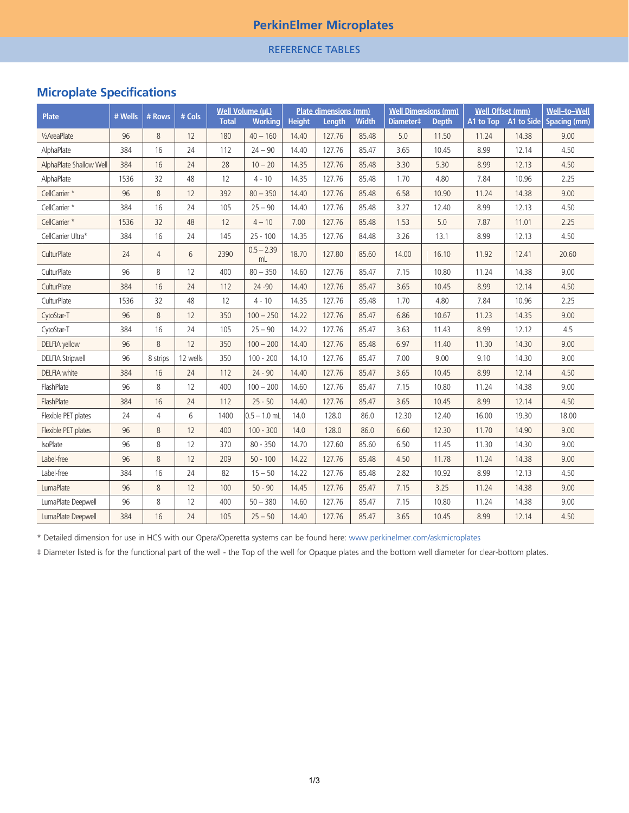## **PerkinElmer Microplates**

REFERENCE TABLES

## **Microplate Specifications**

| <b>Plate</b>            | # Wells | # Rows         | # Cols   | Well Volume (µL) |                    | <b>Plate dimensions (mm)</b> |        |              | <b>Well Dimensions (mm)</b> |              | <b>Well Offset (mm)</b> |       | Well-to-Well                      |
|-------------------------|---------|----------------|----------|------------------|--------------------|------------------------------|--------|--------------|-----------------------------|--------------|-------------------------|-------|-----------------------------------|
|                         |         |                |          | <b>Total</b>     | <b>Working</b>     | <b>Height</b>                | Length | <b>Width</b> | Diameter <sup>#</sup>       | <b>Depth</b> |                         |       | A1 to Top A1 to Side Spacing (mm) |
| 1/2AreaPlate            | 96      | 8              | 12       | 180              | $40 - 160$         | 14.40                        | 127.76 | 85.48        | 5.0                         | 11.50        | 11.24                   | 14.38 | 9.00                              |
| AlphaPlate              | 384     | 16             | 24       | 112              | $24 - 90$          | 14.40                        | 127.76 | 85.47        | 3.65                        | 10.45        | 8.99                    | 12.14 | 4.50                              |
| AlphaPlate Shallow Well | 384     | 16             | 24       | 28               | $10 - 20$          | 14.35                        | 127.76 | 85.48        | 3.30                        | 5.30         | 8.99                    | 12.13 | 4.50                              |
| AlphaPlate              | 1536    | 32             | 48       | 12               | $4 - 10$           | 14.35                        | 127.76 | 85.48        | 1.70                        | 4.80         | 7.84                    | 10.96 | 2.25                              |
| CellCarrier *           | 96      | 8              | 12       | 392              | $80 - 350$         | 14.40                        | 127.76 | 85.48        | 6.58                        | 10.90        | 11.24                   | 14.38 | 9.00                              |
| CellCarrier *           | 384     | 16             | 24       | 105              | $25 - 90$          | 14.40                        | 127.76 | 85.48        | 3.27                        | 12.40        | 8.99                    | 12.13 | 4.50                              |
| CellCarrier *           | 1536    | 32             | 48       | 12               | $4 - 10$           | 7.00                         | 127.76 | 85.48        | 1.53                        | 5.0          | 7.87                    | 11.01 | 2.25                              |
| CellCarrier Ultra*      | 384     | 16             | 24       | 145              | $25 - 100$         | 14.35                        | 127.76 | 84.48        | 3.26                        | 13.1         | 8.99                    | 12.13 | 4.50                              |
| CulturPlate             | 24      | $\overline{4}$ | 6        | 2390             | $0.5 - 2.39$<br>mL | 18.70                        | 127.80 | 85.60        | 14.00                       | 16.10        | 11.92                   | 12.41 | 20.60                             |
| CulturPlate             | 96      | 8              | 12       | 400              | $80 - 350$         | 14.60                        | 127.76 | 85.47        | 7.15                        | 10.80        | 11.24                   | 14.38 | 9.00                              |
| CulturPlate             | 384     | 16             | 24       | 112              | $24 - 90$          | 14.40                        | 127.76 | 85.47        | 3.65                        | 10.45        | 8.99                    | 12.14 | 4.50                              |
| CulturPlate             | 1536    | 32             | 48       | 12               | $4 - 10$           | 14.35                        | 127.76 | 85.48        | 1.70                        | 4.80         | 7.84                    | 10.96 | 2.25                              |
| CytoStar-T              | 96      | 8              | 12       | 350              | $100 - 250$        | 14.22                        | 127.76 | 85.47        | 6.86                        | 10.67        | 11.23                   | 14.35 | 9.00                              |
| CytoStar-T              | 384     | 16             | 24       | 105              | $25 - 90$          | 14.22                        | 127.76 | 85.47        | 3.63                        | 11.43        | 8.99                    | 12.12 | 4.5                               |
| <b>DELFIA</b> yellow    | 96      | 8              | 12       | 350              | $100 - 200$        | 14.40                        | 127.76 | 85.48        | 6.97                        | 11.40        | 11.30                   | 14.30 | 9.00                              |
| <b>DELFIA Stripwell</b> | 96      | 8 strips       | 12 wells | 350              | $100 - 200$        | 14.10                        | 127.76 | 85.47        | 7.00                        | 9.00         | 9.10                    | 14.30 | 9.00                              |
| <b>DELFIA</b> white     | 384     | 16             | 24       | 112              | $24 - 90$          | 14.40                        | 127.76 | 85.47        | 3.65                        | 10.45        | 8.99                    | 12.14 | 4.50                              |
| FlashPlate              | 96      | 8              | 12       | 400              | $100 - 200$        | 14.60                        | 127.76 | 85.47        | 7.15                        | 10.80        | 11.24                   | 14.38 | 9.00                              |
| FlashPlate              | 384     | 16             | 24       | 112              | $25 - 50$          | 14.40                        | 127.76 | 85.47        | 3.65                        | 10.45        | 8.99                    | 12.14 | 4.50                              |
| Flexible PET plates     | 24      | $\overline{4}$ | 6        | 1400             | $0.5 - 1.0$ mL     | 14.0                         | 128.0  | 86.0         | 12.30                       | 12.40        | 16.00                   | 19.30 | 18.00                             |
| Flexible PET plates     | 96      | 8              | 12       | 400              | $100 - 300$        | 14.0                         | 128.0  | 86.0         | 6.60                        | 12.30        | 11.70                   | 14.90 | 9.00                              |
| <b>IsoPlate</b>         | 96      | 8              | 12       | 370              | $80 - 350$         | 14.70                        | 127.60 | 85.60        | 6.50                        | 11.45        | 11.30                   | 14.30 | 9.00                              |
| Label-free              | 96      | 8              | 12       | 209              | $50 - 100$         | 14.22                        | 127.76 | 85.48        | 4.50                        | 11.78        | 11.24                   | 14.38 | 9.00                              |
| Label-free              | 384     | 16             | 24       | 82               | $15 - 50$          | 14.22                        | 127.76 | 85.48        | 2.82                        | 10.92        | 8.99                    | 12.13 | 4.50                              |
| LumaPlate               | 96      | 8              | 12       | 100              | $50 - 90$          | 14.45                        | 127.76 | 85.47        | 7.15                        | 3.25         | 11.24                   | 14.38 | 9.00                              |
| LumaPlate Deepwell      | 96      | 8              | 12       | 400              | $50 - 380$         | 14.60                        | 127.76 | 85.47        | 7.15                        | 10.80        | 11.24                   | 14.38 | 9.00                              |
| LumaPlate Deepwell      | 384     | 16             | 24       | 105              | $25 - 50$          | 14.40                        | 127.76 | 85.47        | 3.65                        | 10.45        | 8.99                    | 12.14 | 4.50                              |

\* Detailed dimension for use in HCS with our Opera/Operetta systems can be found here: www.perkinelmer.com/askmicroplates

‡ Diameter listed is for the functional part of the well - the Top of the well for Opaque plates and the bottom well diameter for clear-bottom plates.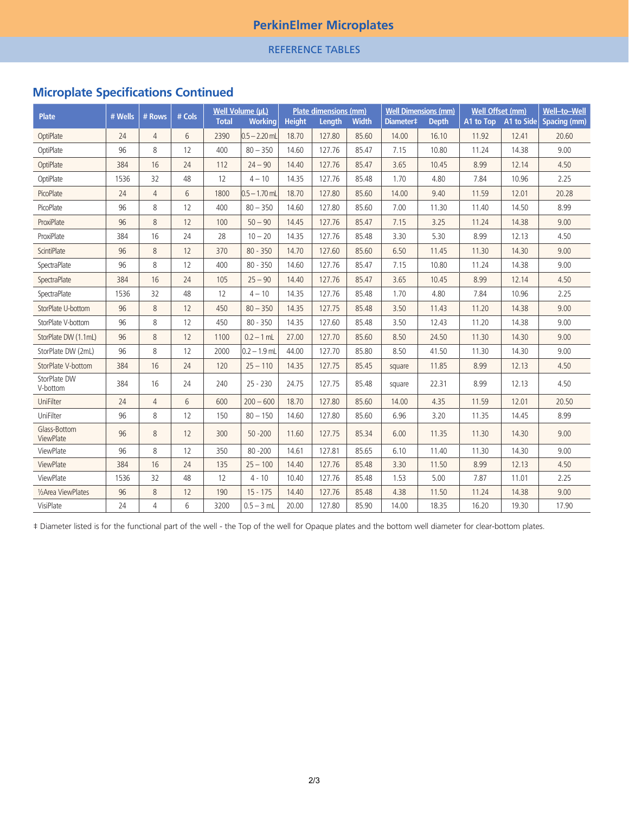## **PerkinElmer Microplates**

### REFERENCE TABLES

# **Microplate Specifications Continued**

| <b>Plate</b>              | # Wells | # Rows         | # Cols | <b>Total</b> | <b>Well Volume (uL)</b><br><b>Working</b> |       | <b>Plate dimensions (mm)</b><br><b>Height</b><br><b>Width</b><br>Length |       |        | <b>Well Dimensions (mm)</b><br>Diameter <sup>#</sup><br><b>Depth</b> |       | <b>Well Offset (mm)</b><br>A1 to Top A1 to Side Spacing (mm) |       |
|---------------------------|---------|----------------|--------|--------------|-------------------------------------------|-------|-------------------------------------------------------------------------|-------|--------|----------------------------------------------------------------------|-------|--------------------------------------------------------------|-------|
| OptiPlate                 | 24      | $\overline{4}$ | 6      | 2390         | $0.5 - 2.20$ mL                           | 18.70 | 127.80                                                                  | 85.60 | 14.00  | 16.10                                                                | 11.92 | 12.41                                                        | 20.60 |
| OptiPlate                 | 96      | 8              | 12     | 400          | $80 - 350$                                | 14.60 | 127.76                                                                  | 85.47 | 7.15   | 10.80                                                                | 11.24 | 14.38                                                        | 9.00  |
| OptiPlate                 | 384     | 16             | 24     | 112          | $24 - 90$                                 | 14.40 | 127.76                                                                  | 85.47 | 3.65   | 10.45                                                                | 8.99  | 12.14                                                        | 4.50  |
| OptiPlate                 | 1536    | 32             | 48     | 12           | $4 - 10$                                  | 14.35 | 127.76                                                                  | 85.48 | 1.70   | 4.80                                                                 | 7.84  | 10.96                                                        | 2.25  |
| PicoPlate                 | 24      | $\overline{4}$ | 6      | 1800         | $0.5 - 1.70$ mL                           | 18.70 | 127.80                                                                  | 85.60 | 14.00  | 9.40                                                                 | 11.59 | 12.01                                                        | 20.28 |
| PicoPlate                 | 96      | 8              | 12     | 400          | $80 - 350$                                | 14.60 | 127.80                                                                  | 85.60 | 7.00   | 11.30                                                                | 11.40 | 14.50                                                        | 8.99  |
| ProxiPlate                | 96      | 8              | 12     | 100          | $50 - 90$                                 | 14.45 | 127.76                                                                  | 85.47 | 7.15   | 3.25                                                                 | 11.24 | 14.38                                                        | 9.00  |
| ProxiPlate                | 384     | 16             | 24     | 28           | $10 - 20$                                 | 14.35 | 127.76                                                                  | 85.48 | 3.30   | 5.30                                                                 | 8.99  | 12.13                                                        | 4.50  |
| <b>ScintiPlate</b>        | 96      | 8              | 12     | 370          | $80 - 350$                                | 14.70 | 127.60                                                                  | 85.60 | 6.50   | 11.45                                                                | 11.30 | 14.30                                                        | 9.00  |
| SpectraPlate              | 96      | 8              | 12     | 400          | $80 - 350$                                | 14.60 | 127.76                                                                  | 85.47 | 7.15   | 10.80                                                                | 11.24 | 14.38                                                        | 9.00  |
| SpectraPlate              | 384     | 16             | 24     | 105          | $25 - 90$                                 | 14.40 | 127.76                                                                  | 85.47 | 3.65   | 10.45                                                                | 8.99  | 12.14                                                        | 4.50  |
| SpectraPlate              | 1536    | 32             | 48     | 12           | $4 - 10$                                  | 14.35 | 127.76                                                                  | 85.48 | 1.70   | 4.80                                                                 | 7.84  | 10.96                                                        | 2.25  |
| StorPlate U-bottom        | 96      | 8              | 12     | 450          | $80 - 350$                                | 14.35 | 127.75                                                                  | 85.48 | 3.50   | 11.43                                                                | 11.20 | 14.38                                                        | 9.00  |
| StorPlate V-bottom        | 96      | 8              | 12     | 450          | $80 - 350$                                | 14.35 | 127.60                                                                  | 85.48 | 3.50   | 12.43                                                                | 11.20 | 14.38                                                        | 9.00  |
| StorPlate DW (1.1mL)      | 96      | 8              | 12     | 1100         | $0.2 - 1$ mL                              | 27.00 | 127.70                                                                  | 85.60 | 8.50   | 24.50                                                                | 11.30 | 14.30                                                        | 9.00  |
| StorPlate DW (2mL)        | 96      | 8              | 12     | 2000         | $0.2 - 1.9$ mL                            | 44.00 | 127.70                                                                  | 85.80 | 8.50   | 41.50                                                                | 11.30 | 14.30                                                        | 9.00  |
| StorPlate V-bottom        | 384     | 16             | 24     | 120          | $25 - 110$                                | 14.35 | 127.75                                                                  | 85.45 | square | 11.85                                                                | 8.99  | 12.13                                                        | 4.50  |
| StorPlate DW<br>V-bottom  | 384     | 16             | 24     | 240          | $25 - 230$                                | 24.75 | 127.75                                                                  | 85.48 | square | 22.31                                                                | 8.99  | 12.13                                                        | 4.50  |
| UniFilter                 | 24      | $\overline{4}$ | 6      | 600          | $200 - 600$                               | 18.70 | 127.80                                                                  | 85.60 | 14.00  | 4.35                                                                 | 11.59 | 12.01                                                        | 20.50 |
| UniFilter                 | 96      | 8              | 12     | 150          | $80 - 150$                                | 14.60 | 127.80                                                                  | 85.60 | 6.96   | 3.20                                                                 | 11.35 | 14.45                                                        | 8.99  |
| Glass-Bottom<br>ViewPlate | 96      | 8              | 12     | 300          | $50 - 200$                                | 11.60 | 127.75                                                                  | 85.34 | 6.00   | 11.35                                                                | 11.30 | 14.30                                                        | 9.00  |
| ViewPlate                 | 96      | 8              | 12     | 350          | $80 - 200$                                | 14.61 | 127.81                                                                  | 85.65 | 6.10   | 11.40                                                                | 11.30 | 14.30                                                        | 9.00  |
| ViewPlate                 | 384     | 16             | 24     | 135          | $25 - 100$                                | 14.40 | 127.76                                                                  | 85.48 | 3.30   | 11.50                                                                | 8.99  | 12.13                                                        | 4.50  |
| ViewPlate                 | 1536    | 32             | 48     | 12           | $4 - 10$                                  | 10.40 | 127.76                                                                  | 85.48 | 1.53   | 5.00                                                                 | 7.87  | 11.01                                                        | 2.25  |
| 1/2Area ViewPlates        | 96      | 8              | 12     | 190          | $15 - 175$                                | 14.40 | 127.76                                                                  | 85.48 | 4.38   | 11.50                                                                | 11.24 | 14.38                                                        | 9.00  |
| VisiPlate                 | 24      | $\overline{4}$ | 6      | 3200         | $0.5 - 3$ mL                              | 20.00 | 127.80                                                                  | 85.90 | 14.00  | 18.35                                                                | 16.20 | 19.30                                                        | 17.90 |

‡ Diameter listed is for the functional part of the well - the Top of the well for Opaque plates and the bottom well diameter for clear-bottom plates.